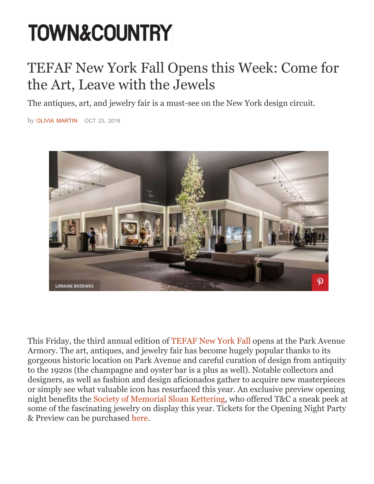# **TOWN&COUNTRY**

# TEFAF New York Fall Opens this Week: Come for the Art, Leave with the Jewels

The antiques, art, and jewelry fair is a must-see on the New York design circuit.

by [OLIVIA MARTIN](https://www.townandcountrymag.com/author/219740/olivia-martin/) OCT 23, 2018



This Friday, the third annual edition of TEFAF New York Fall opens at the Park Avenue Armory. The art, antiques, and jewelry fair has become hugely popular thanks to its gorgeous historic location on Park Avenue and careful curation of design from antiquity to the 1920s (the champagne and oyster bar is a plus as well). Notable collectors and designers, as well as fashion and design aficionados gather to acquire new masterpieces or simply see what valuable icon has resurfaced this year. An exclusive preview opening night benefits the Society of Memorial Sloan Kettering, who offered T&C a sneak peek at some of the fascinating jewelry on display this year. Tickets for the Opening Night Party & Preview can be purchased here.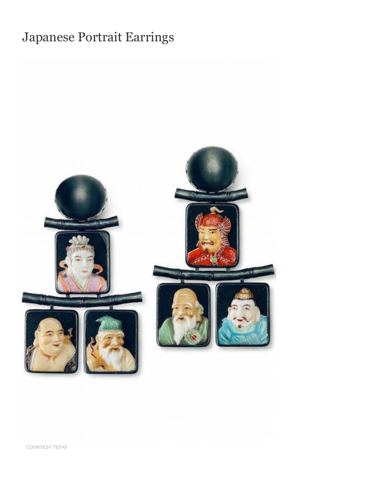# Japanese Portrait Earrings



COURTE[SY TEFAF](https://www.tefaf.com/art/details/tefaf-new-york-fall/hemm/earrings)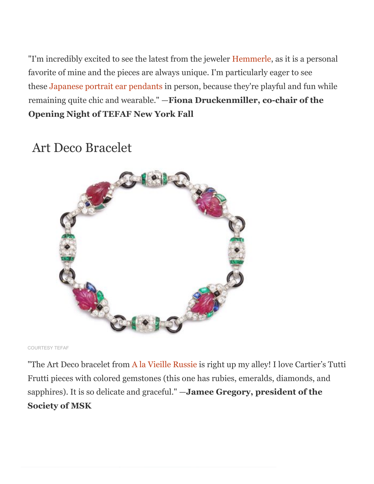remaining quite chic and wearable." —**Fiona Druckenmiller, co-chair of the Opening Night of TEFAF New York Fall** "I'm incredibly excited to see the latest from the jeweler Hemmerle, as it is a personal favorite of mine and the pieces are always unique. I'm particularly eager to see these Japanese portrait ear pendants in person, because they're playful and fun while

#### Art Deco Bracelet



COURTESY TEFAF

"The Art Deco bracelet from A la Vieille Russie is right up my alley! I love Cartier's Tutti Frutti pieces with colored gemstones (this one has rubies, emeralds, diamonds, and sapphires). It is so delicate and graceful." —**Jamee Gregory, president of the Society of MSK**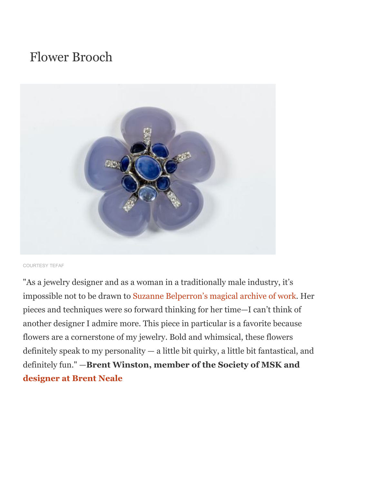#### Flower Brooch



COURTESY TEFAF

"As a jewelry designer and as a woman in a traditionally male industry, it's impossible not to be drawn to Suzanne Be[lperron's magical archive of](https://brentneale.com/) work. Her pieces and techniques were so forward thinking for her time—I can't think of another designer I admire more. This piece in particular is a favorite because flowers are a cornerstone of my jewelry. Bold and whimsical, these flowers definitely speak to my personality — a little bit quirky, a little bit fantastical, and definitely fun." —**Brent Winston, member of the Society of MSK and designer at Brent Neale**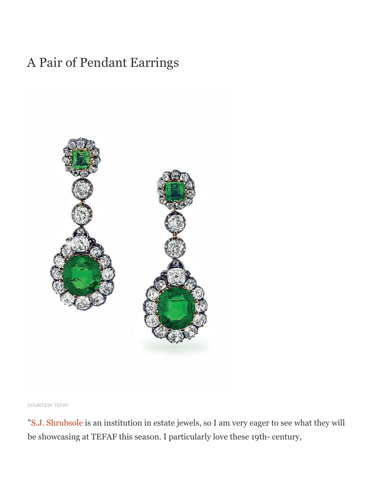#### A Pair of Pendant Earrings



COURTESY TEFAF

"[S.J. Shrubsole](https://shrubsole.com/) is an institution in estate jewels, so I am very eager to see what they will be showcasing at TEFAF this season. I particularly love these 19th- century,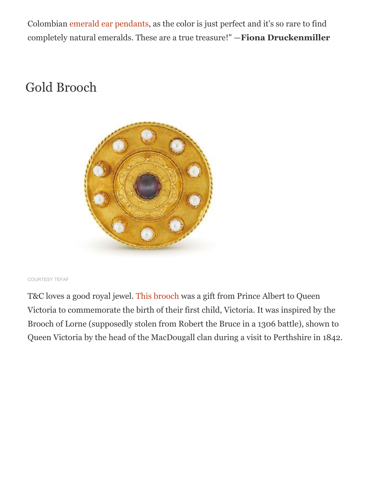Colombian [emerald ear pendants](https://www.tefaf.com/art/details/tefaf-new-york-fall/shru/a-pair-of-pendant-earrings), as the color is just perfect and it's so rare to find completely natural emeralds. These are a true treasure!" —**Fiona Druckenmiller**

## Gold Brooch



#### COURTESY TEFAF

T&C loves a good royal jewel. [This brooch](https://www.tefaf.com/art/details/tefaf-new-york-fall/wart/brooch) was a gift from Prince Albert to Queen Victoria to commemorate the birth of their first child, Victoria. It was inspired by the Brooch of Lorne (supposedly stolen from Robert the Bruce in a 1306 battle), shown to Queen Victoria by the head of the MacDougall clan during a visit to Perthshire in 1842.